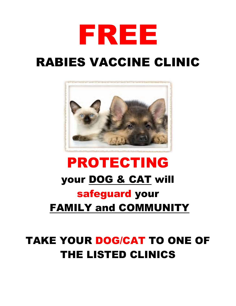

# RABIES VACCINE CLINIC



# PROTECTING your DOG & CAT will safeguard your FAMILY and COMMUNITY

## TAKE YOUR DOG/CAT TO ONE OF THE LISTED CLINICS